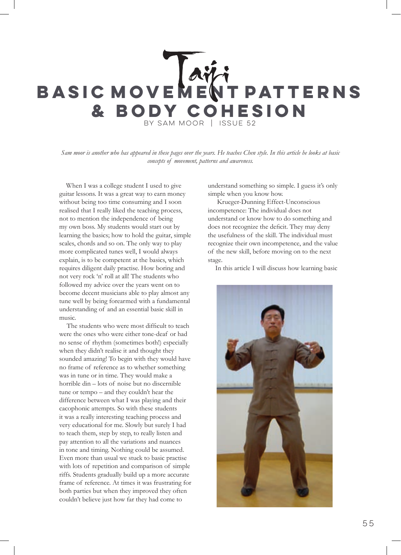# by Sam Moor | Issue 52 BASIC MOVE**MENT PATTERNS & Body Cohesion**

*Sam moor is another who has appeared in these pages over the years. He teaches Chen style. In this article he looks at basic concepts of movement, patterns and awareness.*

When I was a college student I used to give guitar lessons. It was a great way to earn money without being too time consuming and I soon realised that I really liked the teaching process, not to mention the independence of being my own boss. My students would start out by learning the basics; how to hold the guitar, simple scales, chords and so on. The only way to play more complicated tunes well, I would always explain, is to be competent at the basics, which requires diligent daily practise. How boring and not very rock 'n' roll at all! The students who followed my advice over the years went on to become decent musicians able to play almost any tune well by being forearmed with a fundamental understanding of and an essential basic skill in music.

The students who were most difficult to teach were the ones who were either tone-deaf or had no sense of rhythm (sometimes both!) especially when they didn't realise it and thought they sounded amazing! To begin with they would have no frame of reference as to whether something was in tune or in time. They would make a horrible din – lots of noise but no discernible tune or tempo – and they couldn't hear the difference between what I was playing and their cacophonic attempts. So with these students it was a really interesting teaching process and very educational for me. Slowly but surely I had to teach them, step by step, to really listen and pay attention to all the variations and nuances in tone and timing. Nothing could be assumed. Even more than usual we stuck to basic practise with lots of repetition and comparison of simple riffs. Students gradually build up a more accurate frame of reference. At times it was frustrating for both parties but when they improved they often couldn't believe just how far they had come to

understand something so simple. I guess it's only simple when you know how.

 Krueger-Dunning Effect-Unconscious incompetence: The individual does not understand or know how to do something and does not recognize the deficit. They may deny the usefulness of the skill. The individual must recognize their own incompetence, and the value of the new skill, before moving on to the next stage.

In this article I will discuss how learning basic

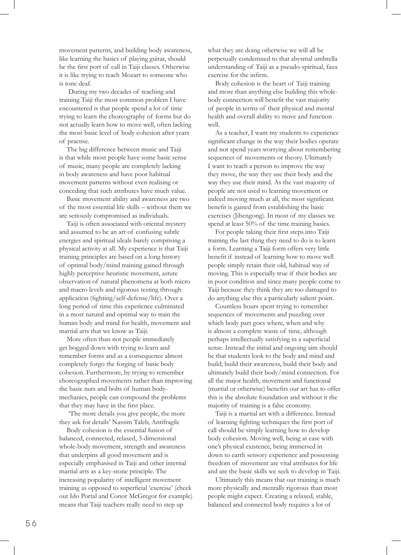movement patterns, and building body awareness, like learning the basics of playing guitar, should be the first port of call in Taiji classes. Otherwise it is like trying to teach Mozart to someone who is tone deaf.

 During my two decades of teaching and training Taiji the most common problem I have encountered is that people spend a lot of time trying to learn the choreography of forms but do not actually learn how to move well, often lacking the most basic level of body cohesion after years of practise.

The big difference between music and Taiji is that while most people have some basic sense of music, many people are completely lacking in body awareness and have poor habitual movement patterns without even realising or conceding that such attributes have much value.

Basic movement ability and awareness are two of the most essential life skills – without them we are seriously compromised as individuals.

Taiji is often associated with oriental mystery and assumed to be an art of confusing subtle energies and spiritual ideals barely comprising a physical activity at all. My experience is that Taiji training principles are based on a long history of optimal body/mind training gained through highly perceptive heuristic movement, astute observation of natural phenomena at both micro and macro levels and rigorous testing through application (fighting/self-defense/life). Over a long period of time this experience culminated in a most natural and optimal way to train the human body and mind for health, movement and martial arts that we know as Taiji.

More often than not people immediately get bogged down with trying to learn and remember forms and as a consequence almost completely forgo the forging of basic body cohesion. Furthermore, by trying to remember choreographed movements rather than improving the basic nuts and bolts of human bodymechanics, people can compound the problems that they may have in the first place.

 'The more details you give people, the more they ask for details' Nassim Taleb, Antifragile

Body cohesion is the essential fusion of balanced, connected, relaxed, 3-dimensional whole-body movement, strength and awareness that underpins all good movement and is especially emphasised in Taiji and other internal martial arts as a key-stone principle. The increasing popularity of intelligent movement training as opposed to superficial 'exercise' (check out Ido Portal and Conor McGregor for example) means that Taiji teachers really need to step up

what they are doing otherwise we will all be perpetually condemned to that abysmal umbrella understanding of Taiji as a pseudo-spiritual, faux exercise for the infirm.

Body cohesion is the heart of Taiji training and more than anything else building this wholebody connection will benefit the vast majority of people in terms of their physical and mental health and overall ability to move and function well.

As a teacher, I want my students to experience significant change in the way their bodies operate and not spend years worrying about remembering sequences of movements or theory. Ultimately I want to teach a person to improve the way they move, the way they use their body and the way they use their mind. As the vast majority of people are not used to learning movement or indeed moving much at all, the most significant benefit is gained from establishing the basic exercises (Jibengong). In most of my classes we spend at least 50% of the time training basics.

For people taking their first steps into Taiji training the last thing they need to do is to learn a form. Learning a Taiji form offers very little benefit if instead of learning how to move well people simply retain their old, habitual way of moving. This is especially true if their bodies are in poor condition and since many people come to Taiji because they think they are too damaged to do anything else this a particularly salient point.

Countless hours spent trying to remember sequences of movements and puzzling over which body part goes where, when and why is almost a complete waste of time, although perhaps intellectually satisfying in a superficial sense. Instead the initial and ongoing aim should be that students look to the body and mind and build; build their awareness, build their body and ultimately build their body/mind connection. For all the major health, movement and functional (martial or otherwise) benefits our art has to offer this is the absolute foundation and without it the majority of training is a false economy.

Taiji is a martial art with a difference. Instead of learning fighting techniques the first port of call should be simply learning how to develop body cohesion. Moving well, being at ease with one's physical existence, being immersed in down to earth sensory experience and possessing freedom of movement are vital attributes for life and are the basic skills we seek to develop in Taiji.

Ultimately this means that our training is much more physically and mentally rigorous than most people might expect. Creating a relaxed, stable, balanced and connected body requires a lot of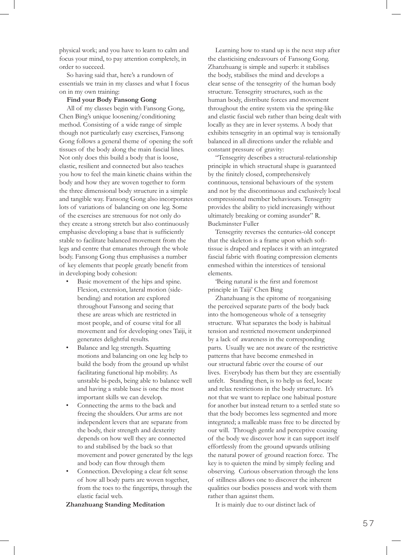physical work; and you have to learn to calm and focus your mind, to pay attention completely, in order to succeed.

So having said that, here's a rundown of essentials we train in my classes and what I focus on in my own training:

# **Find your Body Fansong Gong**

All of my classes begin with Fansong Gong, Chen Bing's unique loosening/conditioning method. Consisting of a wide range of simple though not particularly easy exercises, Fansong Gong follows a general theme of opening the soft tissues of the body along the main fascial lines. Not only does this build a body that is loose, elastic, resilient and connected but also teaches you how to feel the main kinetic chains within the body and how they are woven together to form the three dimensional body structure in a simple and tangible way. Fansong Gong also incorporates lots of variations of balancing on one leg. Some of the exercises are strenuous for not only do they create a strong stretch but also continuously emphasise developing a base that is sufficiently stable to facilitate balanced movement from the legs and centre that emanates through the whole body. Fansong Gong thus emphasises a number of key elements that people greatly benefit from in developing body cohesion:

- Basic movement of the hips and spine. Flexion, extension, lateral motion (sidebending) and rotation are explored throughout Fansong and seeing that these are areas which are restricted in most people, and of course vital for all movement and for developing ones Taiji, it generates delightful results.
- Balance and leg strength. Squatting motions and balancing on one leg help to build the body from the ground up whilst facilitating functional hip mobility. As unstable bi-peds, being able to balance well and having a stable base is one the most important skills we can develop.
- Connecting the arms to the back and freeing the shoulders. Our arms are not independent levers that are separate from the body, their strength and dexterity depends on how well they are connected to and stabilised by the back so that movement and power generated by the legs and body can flow through them
- Connection. Developing a clear felt sense of how all body parts are woven together, from the toes to the fingertips, through the elastic facial web.

## **Zhanzhuang Standing Meditation**

Learning how to stand up is the next step after the elasticising endeavours of Fansong Gong. Zhanzhuang is simple and superb: it stabilises the body, stabilises the mind and develops a clear sense of the tensegrity of the human body structure. Tensegrity structures, such as the human body, distribute forces and movement throughout the entire system via the spring-like and elastic fascial web rather than being dealt with locally as they are in lever systems. A body that exhibits tensegrity in an optimal way is tensionally balanced in all directions under the reliable and constant pressure of gravity:

"Tensegrity describes a structural-relationship principle in which structural shape is guaranteed by the finitely closed, comprehensively continuous, tensional behaviours of the system and not by the discontinuous and exclusively local compressional member behaviours. Tensegrity provides the ability to yield increasingly without ultimately breaking or coming asunder" R. Buckminster Fuller

Tensegrity reverses the centuries-old concept that the skeleton is a frame upon which softtissue is draped and replaces it with an integrated fascial fabric with floating compression elements enmeshed within the interstices of tensional elements.

'Being natural is the first and foremost principle in Taiji' Chen Bing

Zhanzhuang is the epitome of reorganising the perceived separate parts of the body back into the homogeneous whole of a tensegrity structure. What separates the body is habitual tension and restricted movement underpinned by a lack of awareness in the corresponding parts. Usually we are not aware of the restrictive patterns that have become enmeshed in our structural fabric over the course of our lives. Everybody has them but they are essentially unfelt. Standing then, is to help us feel, locate and relax restrictions in the body structure. It's not that we want to replace one habitual posture for another but instead return to a settled state so that the body becomes less segmented and more integrated; a malleable mass free to be directed by our will. Through gentle and perceptive coaxing of the body we discover how it can support itself effortlessly from the ground upwards utilising the natural power of ground reaction force. The key is to quieten the mind by simply feeling and observing. Curious observation through the lens of stillness allows one to discover the inherent qualities our bodies possess and work with them rather than against them.

It is mainly due to our distinct lack of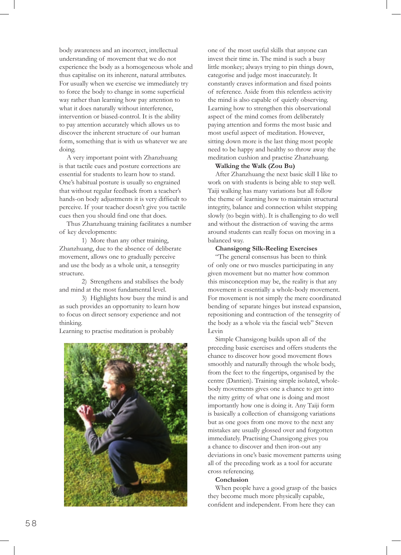body awareness and an incorrect, intellectual understanding of movement that we do not experience the body as a homogeneous whole and thus capitalise on its inherent, natural attributes. For usually when we exercise we immediately try to force the body to change in some superficial way rather than learning how pay attention to what it does naturally without interference, intervention or biased-control. It is the ability to pay attention accurately which allows us to discover the inherent structure of our human form, something that is with us whatever we are doing.

A very important point with Zhanzhuang is that tactile cues and posture corrections are essential for students to learn how to stand. One's habitual posture is usually so engrained that without regular feedback from a teacher's hands-on body adjustments it is very difficult to perceive. If your teacher doesn't give you tactile cues then you should find one that does.

Thus Zhanzhuang training facilitates a number of key developments:

1) More than any other training, Zhanzhuang, due to the absence of deliberate movement, allows one to gradually perceive and use the body as a whole unit, a tensegrity structure.

2) Strengthens and stabilises the body and mind at the most fundamental level.

3) Highlights how busy the mind is and as such provides an opportunity to learn how to focus on direct sensory experience and not thinking.

Learning to practise meditation is probably



one of the most useful skills that anyone can invest their time in. The mind is such a busy little monkey; always trying to pin things down, categorise and judge most inaccurately. It constantly craves information and fixed points of reference. Aside from this relentless activity the mind is also capable of quietly observing. Learning how to strengthen this observational aspect of the mind comes from deliberately paying attention and forms the most basic and most useful aspect of meditation. However, sitting down more is the last thing most people need to be happy and healthy so throw away the meditation cushion and practise Zhanzhuang.

#### **Walking the Walk (Zou Bu)**

After Zhanzhuang the next basic skill I like to work on with students is being able to step well. Taiji walking has many variations but all follow the theme of learning how to maintain structural integrity, balance and connection whilst stepping slowly (to begin with). It is challenging to do well and without the distraction of waving the arms around students can really focus on moving in a balanced way.

# **Chansigong Silk-Reeling Exercises**

"The general consensus has been to think of only one or two muscles participating in any given movement but no matter how common this misconception may be, the reality is that any movement is essentially a whole-body movement. For movement is not simply the mere coordinated bending of separate hinges but instead expansion, repositioning and contraction of the tensegrity of the body as a whole via the fascial web" Steven Levin

Simple Chansigong builds upon all of the preceding basic exercises and offers students the chance to discover how good movement flows smoothly and naturally through the whole body, from the feet to the fingertips, organised by the centre (Dantien). Training simple isolated, wholebody movements gives one a chance to get into the nitty gritty of what one is doing and most importantly how one is doing it. Any Taiji form is basically a collection of chansigong variations but as one goes from one move to the next any mistakes are usually glossed over and forgotten immediately. Practising Chansigong gives you a chance to discover and then iron-out any deviations in one's basic movement patterns using all of the preceding work as a tool for accurate cross referencing.

### **Conclusion**

When people have a good grasp of the basics they become much more physically capable, confident and independent. From here they can